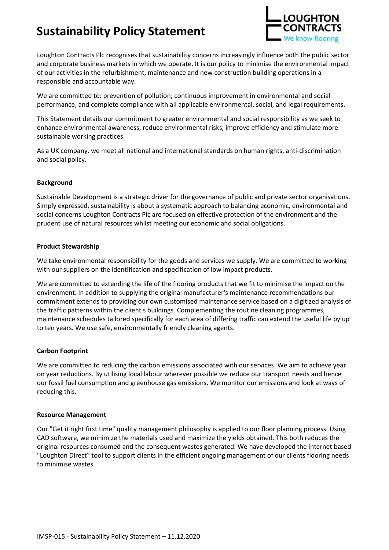# **Sustainability Policy Statement**



Loughton Contracts Plc recognises that sustainability concerns increasingly influence both the public sector and corporate business markets in which we operate. It is our policy to minimise the environmental impact of our activities in the refurbishment, maintenance and new construction building operations in a responsible and accountable way.

We are committed to: prevention of pollution; continuous improvement in environmental and social performance, and complete compliance with all applicable environmental, social, and legal requirements.

This Statement details our commitment to greater environmental and social responsibility as we seek to enhance environmental awareness, reduce environmental risks, improve efficiency and stimulate more sustainable working practices.

As a UK company, we meet all national and international standards on human rights, anti-discrimination and social policy.

#### **Background**

Sustainable Development is a strategic driver for the governance of public and private sector organisations. Simply expressed, sustainability is about a systematic approach to balancing economic, environmental and social concerns Loughton Contracts Plc are focused on effective protection of the environment and the prudent use of natural resources whilst meeting our economic and social obligations.

#### **Product Stewardship**

We take environmental responsibility for the goods and services we supply. We are committed to working with our suppliers on the identification and specification of low impact products.

We are committed to extending the life of the flooring products that we fit to minimise the impact on the environment. In addition to supplying the original manufacturer's maintenance recommendations our commitment extends to providing our own customised maintenance service based on a digitized analysis of the traffic patterns within the client's buildings. Complementing the routine cleaning programmes, maintenance schedules tailored specifically for each area of differing traffic can extend the useful life by up to ten years. We use safe, environmentally friendly cleaning agents.

#### **Carbon Footprint**

We are committed to reducing the carbon emissions associated with our services. We aim to achieve year on year reductions. By utilising local labour wherever possible we reduce our transport needs and hence our fossil fuel consumption and greenhouse gas emissions. We monitor our emissions and look at ways of reducing this.

#### **Resource Management**

Our "Get it right first time" quality management philosophy is applied to our floor planning process. Using CAD software, we minimize the materials used and maximize the yields obtained. This both reduces the original resources consumed and the consequent wastes generated. We have developed the internet based "Loughton Direct" tool to support clients in the efficient ongoing management of our clients flooring needs to minimise wastes.